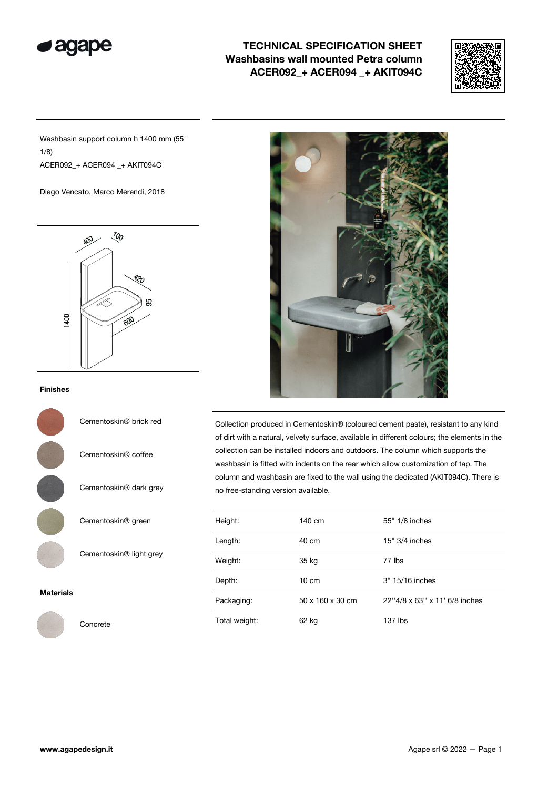

## TECHNICAL SPECIFICATION SHEET Washbasins wall mounted Petra column ACER092\_+ ACER094 \_+ AKIT094C



Washbasin support column h 1400 mm (55" 1/8) ACER092\_+ ACER094 \_+ AKIT094C

Diego Vencato, Marco Merendi, 2018



## Finishes



Cementoskin® brick red

Cementoskin® coffee

Cementoskin® dark grey

Cementoskin® green

Cementoskin® light grey

## Materials



Concrete



Collection produced in Cementoskin® (coloured cement paste), resistant to any kind of dirt with a natural, velvety surface, available in different colours; the elements in the collection can be installed indoors and outdoors. The column which supports the washbasin is fitted with indents on the rear which allow customization of tap. The column and washbasin are fixed to the wall using the dedicated (AKIT094C). There is no free-standing version available.

| Height:       | 140 cm           | 55" 1/8 inches               |
|---------------|------------------|------------------------------|
| Length:       | 40 cm            | $15" 3/4$ inches             |
| Weight:       | 35 kg            | 77 lbs                       |
| Depth:        | $10 \text{ cm}$  | 3" 15/16 inches              |
| Packaging:    | 50 x 160 x 30 cm | 22"4/8 x 63" x 11"6/8 inches |
| Total weight: | 62 kg            | 137 lbs                      |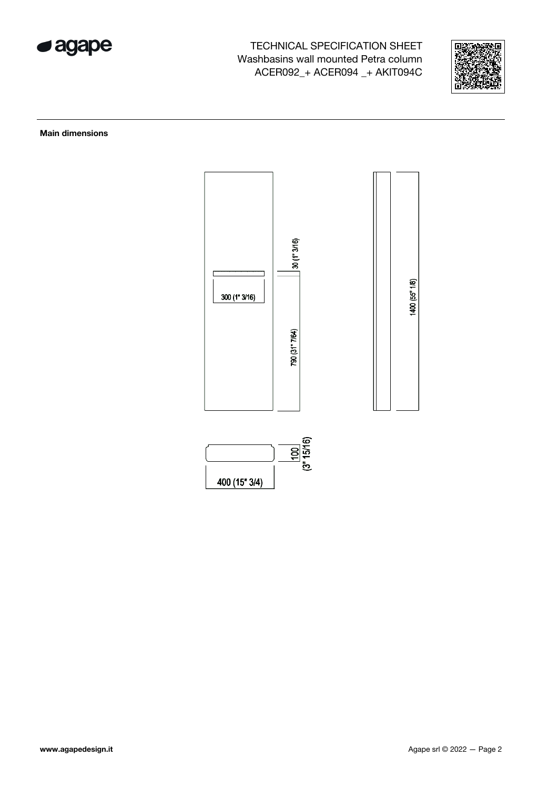

TECHNICAL SPECIFICATION SHEET Washbasins wall mounted Petra column ACER092\_+ ACER094 \_+ AKIT094C



Main dimensions